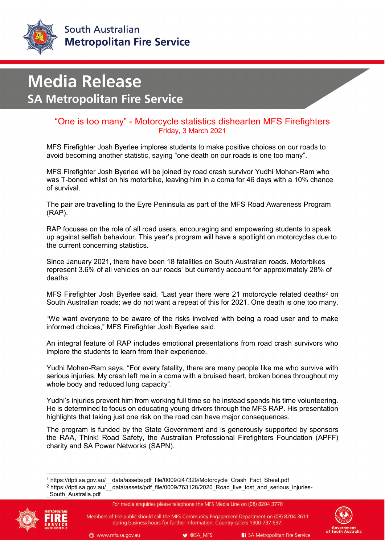

## **Media Release SA Metropolitan Fire Service**

## "One is too many" - Motorcycle statistics dishearten MFS Firefighters Friday, 3 March 2021

MFS Firefighter Josh Byerlee implores students to make positive choices on our roads to avoid becoming another statistic, saying "one death on our roads is one too many".

MFS Firefighter Josh Byerlee will be joined by road crash survivor Yudhi Mohan-Ram who was T-boned whilst on his motorbike, leaving him in a coma for 46 days with a 10% chance of survival.

The pair are travelling to the Eyre Peninsula as part of the MFS Road Awareness Program (RAP).

RAP focuses on the role of all road users, encouraging and empowering students to speak up against selfish behaviour. This year's program will have a spotlight on motorcycles due to the current concerning statistics.

Since January 2021, there have been 18 fatalities on South Australian roads. Motorbikes represent 3.6% of all vehicles on our roads<sup>[1](#page-0-0)</sup> but currently account for approximately 28% of deaths.

MFS Firefighter Josh Byerlee said, "Last year there were [2](#page-0-1)1 motorcycle related deaths<sup>2</sup> on South Australian roads; we do not want a repeat of this for 2021. One death is one too many.

"We want everyone to be aware of the risks involved with being a road user and to make informed choices," MFS Firefighter Josh Byerlee said.

An integral feature of RAP includes emotional presentations from road crash survivors who implore the students to learn from their experience.

Yudhi Mohan-Ram says, "For every fatality, there are many people like me who survive with serious injuries. My crash left me in a coma with a bruised heart, broken bones throughout my whole body and reduced lung capacity".

Yudhi's injuries prevent him from working full time so he instead spends his time volunteering. He is determined to focus on educating young drivers through the MFS RAP. His presentation highlights that taking just one risk on the road can have major consequences.

The program is funded by the State Government and is generously supported by sponsors the RAA, Think! Road Safety, the Australian Professional Firefighters Foundation (APFF) charity and SA Power Networks (SAPN).

<sup>&</sup>lt;sup>2</sup> https://dpti.sa.gov.au/\_\_data/assets/pdf\_file/0009/763128/2020\_Road\_live\_lost\_and\_serious\_injuries-South\_Australia.pdf



<span id="page-0-1"></span><span id="page-0-0"></span>

Members of the public should call the MFS Community Engagement Department on (08) 8204 3611 during business hours for further information. Country callers 1300 737 637.



 <sup>1</sup> https://dpti.sa.gov.au/\_\_data/assets/pdf\_file/0009/247329/Motorcycle\_Crash\_Fact\_Sheet.pdf